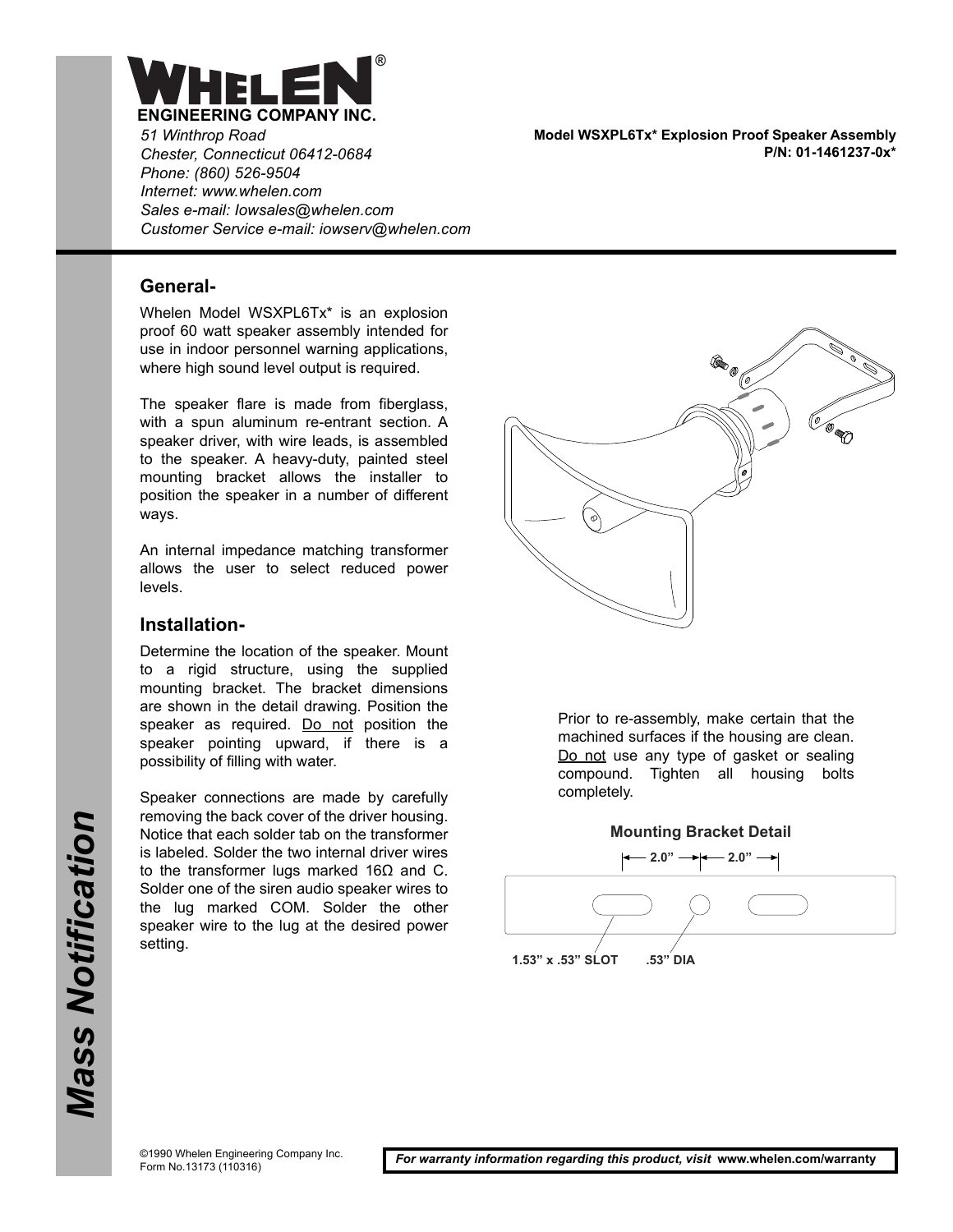

*51 Winthrop Road Chester, Connecticut 06412-0684 Phone: (860) 526-9504 Internet: www.whelen.com Sales e-mail: Iowsales@whelen.com Customer Service e-mail: iowserv@whelen.com*

**General-**

Whelen Model WSXPL6Tx\* is an explosion proof 60 watt speaker assembly intended for use in indoor personnel warning applications, where high sound level output is required.

The speaker flare is made from fiberglass, with a spun aluminum re-entrant section. A speaker driver, with wire leads, is assembled to the speaker. A heavy-duty, painted steel mounting bracket allows the installer to position the speaker in a number of different ways.

An internal impedance matching transformer allows the user to select reduced power levels.

#### **Installation-**

Determine the location of the speaker. Mount to a rigid structure, using the supplied mounting bracket. The bracket dimensions are shown in the detail drawing. Position the speaker as required. Do not position the speaker pointing upward, if there is a possibility of filling with water.

Speaker connections are made by carefully removing the back cover of the driver housing. Notice that each solder tab on the transformer is labeled. Solder the two internal driver wires to the transformer lugs marked 16Ω and C. Solder one of the siren audio speaker wires to the lug marked COM. Solder the other speaker wire to the lug at the desired power setting.

**Model WSXPL6Tx\* Explosion Proof Speaker Assembly P/N: 01-1461237-0x\***



Prior to re-assembly, make certain that the machined surfaces if the housing are clean. Do not use any type of gasket or sealing compound. Tighten all housing bolts completely.



©1990 Whelen Engineering Company Inc. Form No.13173 (110316)

*For warranty information regarding this product, visit* **www.whelen.com/warranty**